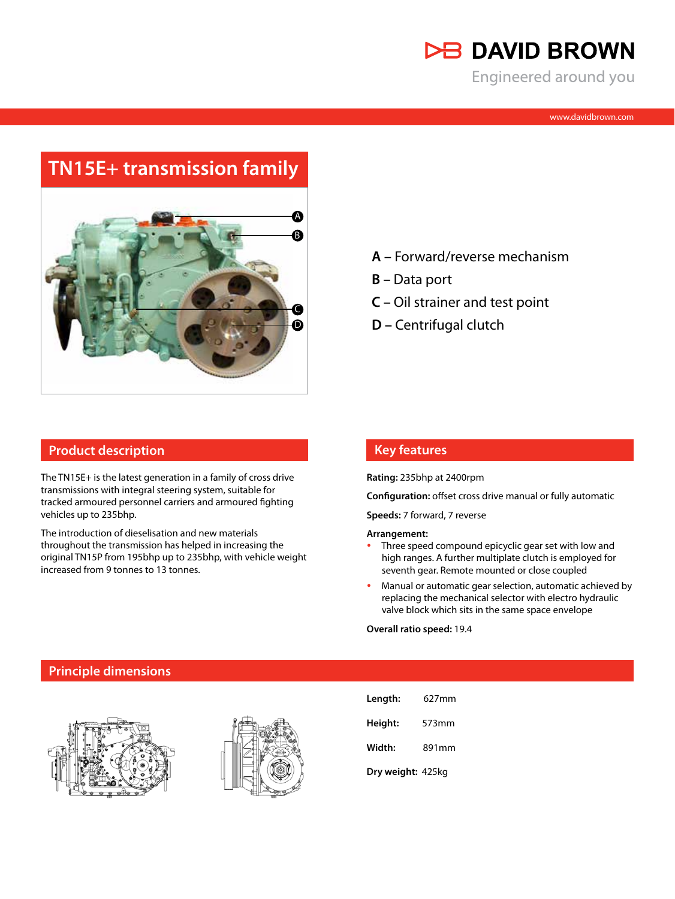

Engineered around you

# **TN15E+ transmission family**



#### **Product description**

The TN15E+ is the latest generation in a family of cross drive transmissions with integral steering system, suitable for tracked armoured personnel carriers and armoured fighting vehicles up to 235bhp.

The introduction of dieselisation and new materials throughout the transmission has helped in increasing the original TN15P from 195bhp up to 235bhp, with vehicle weight increased from 9 tonnes to 13 tonnes.

- **A –** Forward/reverse mechanism
- **B** Data port
- **C** Oil strainer and test point
- **D** Centrifugal clutch

### **Key features**

**Rating:** 235bhp at 2400rpm

**Configuration:** offset cross drive manual or fully automatic

**Speeds:** 7 forward, 7 reverse

#### **Arrangement:**

- Three speed compound epicyclic gear set with low and high ranges. A further multiplate clutch is employed for seventh gear. Remote mounted or close coupled
- Manual or automatic gear selection, automatic achieved by replacing the mechanical selector with electro hydraulic valve block which sits in the same space envelope

**Overall ratio speed:** 19.4

#### **Principle dimensions**





| Length:           | 627mm |
|-------------------|-------|
| Height:           | 573mm |
| Width:            | 891mm |
| Dry weight: 425kg |       |